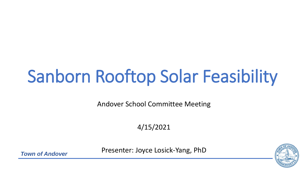# Sanborn Rooftop Solar Feasibility

Andover School Committee Meeting

4/15/2021

Presenter: Joyce Losick-Yang, PhD



*Town of Andover*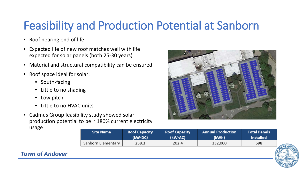### Feasibility and Production Potential at Sanborn

- Roof nearing end of life
- Expected life of new roof matches well with life expected for solar panels (both 25-30 years)
- Material and structural compatibility can be ensured
- Roof space ideal for solar:
	- South-facing
	- Little to no shading
	- Low pitch
	- Little to no HVAC units
- Cadmus Group feasibility study showed solar production potential to be  $\sim$  180% current electricity usage



| <b>Site Name</b>   | <b>Roof Capacity</b> | <b>Roof Capacity</b> | <b>Annual Production</b> | Total Panels     |
|--------------------|----------------------|----------------------|--------------------------|------------------|
|                    | (kW-DC)              | (kW-AC)              | (kWh)                    | <b>Installed</b> |
| Sanborn Elementary | 258.3                | 202.4                | 332,000                  | 698              |

### *Town of Andover*